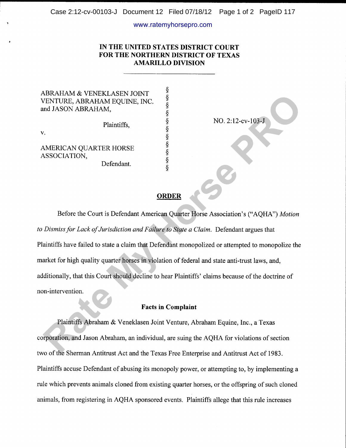#### www.ratemyhorsepro.com

# IN THE UNITED STATES DISTRICT COURT FOR THE NORTHERN DISTRICT OF TEXAS AMARILLO DIVISION

\$

s<br>§

A

 $\bf{S}$ 

ABRAHAM & VENEKLASEN JOINT ! VENTURE, ABRAHAM EQUINE, [NC. <sup>X</sup> and JASON ABRAHAM,

Plaintiffs,  $\frac{\S}{\S}$ 

v.

AMERICAN QUARTER HORSE \$ ASSOCIATION,

Defendant.

NO. 2:12-cv-103-J

# ORDER

Before the Court is Defendant American Quarter Horse Association's ("AQHA") Motion to Dismiss for Lack of Jurisdiction and Failure to State a Claim. Defendant argues that Plaintiffs have failed to state a claim that Defendant monopolized or attempted to monopolize the market for high quality quarter horses in violation of federal and state anti-trust laws, and, additionally, that this Court should decline to hear Plaintiffs' claims because of the doctrine of non-intervention. **EXAMPLARE ABRAHAM EQUINE, INC.**<br>
REACTA CONTRIBUTE SERVE ABRAHAM EQUINE, INC.<br>
TRATER HORSE<br>
RATE MAY HORSE<br>
RATE MORSE<br>
REACTION.<br>
PROPERTIES A SUBMATER HORSE<br>
SUBDIEX<br>
REACTION.<br> **REACTION**<br> **REACTION**<br> **REACTION**<br> **REA** 

### Facts in Complaint

Plaintiffs Abraham & Veneklasen Joint Venture, Abraham Equine, Inc., a Texas corporation, and Jason Abraham, an individual, are suing the AQHA for violations of section two of the Sherman Antitrust Act and the Texas Free Enterprise and Antitrust Act of 1983. Plaintiffs accuse Defendant of abusing its monopoly power, or attempting to, by implementing a rule which prevents animals cloned from existing quarter horses, or the offspring of such cloned animals, from registering in AQHA sponsored events. Plaintiffs allege that this rule increases